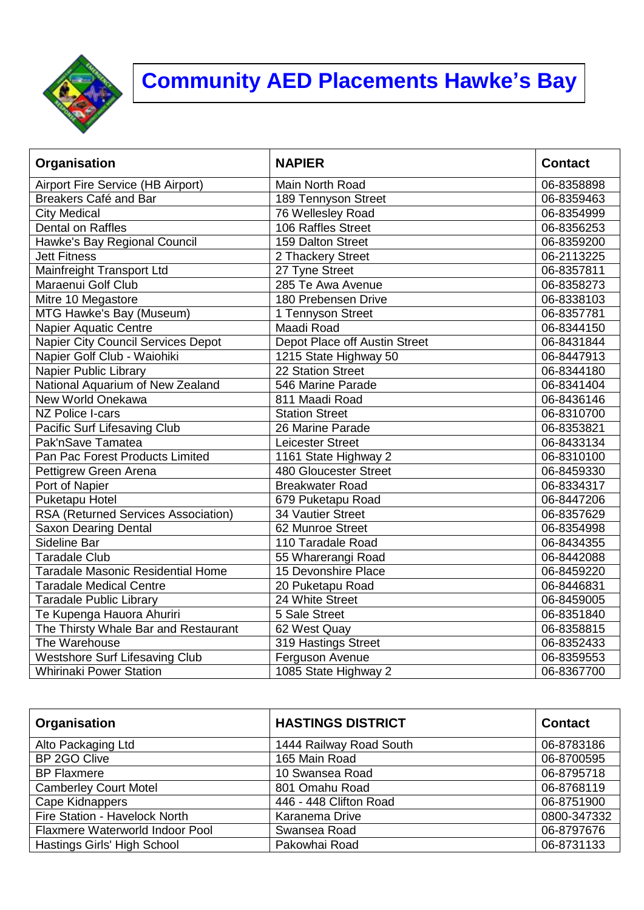

## **Community AED Placements Hawke's Bay**

| Organisation                               | <b>NAPIER</b>                 | <b>Contact</b> |
|--------------------------------------------|-------------------------------|----------------|
| Airport Fire Service (HB Airport)          | Main North Road               | 06-8358898     |
| Breakers Café and Bar                      | 189 Tennyson Street           | 06-8359463     |
| <b>City Medical</b>                        | 76 Wellesley Road             | 06-8354999     |
| Dental on Raffles                          | 106 Raffles Street            | 06-8356253     |
| Hawke's Bay Regional Council               | 159 Dalton Street             | 06-8359200     |
| <b>Jett Fitness</b>                        | 2 Thackery Street             | 06-2113225     |
| Mainfreight Transport Ltd                  | 27 Tyne Street                | 06-8357811     |
| Maraenui Golf Club                         | 285 Te Awa Avenue             | 06-8358273     |
| Mitre 10 Megastore                         | 180 Prebensen Drive           | 06-8338103     |
| MTG Hawke's Bay (Museum)                   | 1 Tennyson Street             | 06-8357781     |
| Napier Aquatic Centre                      | Maadi Road                    | 06-8344150     |
| Napier City Council Services Depot         | Depot Place off Austin Street | 06-8431844     |
| Napier Golf Club - Waiohiki                | 1215 State Highway 50         | 06-8447913     |
| Napier Public Library                      | 22 Station Street             | 06-8344180     |
| National Aquarium of New Zealand           | 546 Marine Parade             | 06-8341404     |
| New World Onekawa                          | 811 Maadi Road                | 06-8436146     |
| NZ Police I-cars                           | <b>Station Street</b>         | 06-8310700     |
| Pacific Surf Lifesaving Club               | 26 Marine Parade              | 06-8353821     |
| Pak'nSave Tamatea                          | Leicester Street              | 06-8433134     |
| Pan Pac Forest Products Limited            | 1161 State Highway 2          | 06-8310100     |
| Pettigrew Green Arena                      | 480 Gloucester Street         | 06-8459330     |
| Port of Napier                             | <b>Breakwater Road</b>        | 06-8334317     |
| Puketapu Hotel                             | 679 Puketapu Road             | 06-8447206     |
| <b>RSA (Returned Services Association)</b> | 34 Vautier Street             | 06-8357629     |
| <b>Saxon Dearing Dental</b>                | 62 Munroe Street              | 06-8354998     |
| Sideline Bar                               | 110 Taradale Road             | 06-8434355     |
| <b>Taradale Club</b>                       | 55 Wharerangi Road            | 06-8442088     |
| <b>Taradale Masonic Residential Home</b>   | 15 Devonshire Place           | 06-8459220     |
| <b>Taradale Medical Centre</b>             | 20 Puketapu Road              | 06-8446831     |
| <b>Taradale Public Library</b>             | 24 White Street               | 06-8459005     |
| Te Kupenga Hauora Ahuriri                  | 5 Sale Street                 | 06-8351840     |
| The Thirsty Whale Bar and Restaurant       | 62 West Quay                  | 06-8358815     |
| The Warehouse                              | 319 Hastings Street           | 06-8352433     |
| <b>Westshore Surf Lifesaving Club</b>      | Ferguson Avenue               | 06-8359553     |
| <b>Whirinaki Power Station</b>             | 1085 State Highway 2          | 06-8367700     |

| Organisation                    | <b>HASTINGS DISTRICT</b> | <b>Contact</b> |
|---------------------------------|--------------------------|----------------|
| Alto Packaging Ltd              | 1444 Railway Road South  | 06-8783186     |
| BP 2GO Clive                    | 165 Main Road            | 06-8700595     |
| <b>BP Flaxmere</b>              | 10 Swansea Road          | 06-8795718     |
| <b>Camberley Court Motel</b>    | 801 Omahu Road           | 06-8768119     |
| Cape Kidnappers                 | 446 - 448 Clifton Road   | 06-8751900     |
| Fire Station - Havelock North   | Karanema Drive           | 0800-347332    |
| Flaxmere Waterworld Indoor Pool | Swansea Road             | 06-8797676     |
| Hastings Girls' High School     | Pakowhai Road            | 06-8731133     |